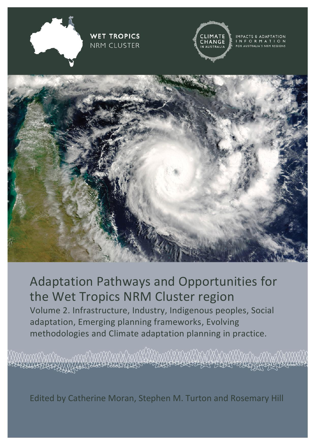

# Adaptation Pathways and Opportunities for the Wet Tropics NRM Cluster region Volume 2. Infrastructure, Industry, Indigenous peoples, Social

adaptation, Emerging planning frameworks, Evolving methodologies and Climate adaptation planning in practice.

Edited by Catherine Moran, Stephen M. Turton and Rosemary Hill

ANIKAMAKAN AMPAYAN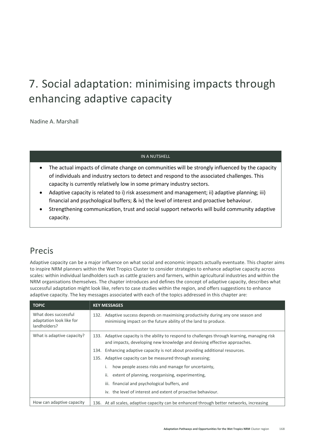# 7. Social adaptation: minimising impacts through enhancing adaptive capacity

Nadine A. Marshall

### IN A NUTSHELL

- The actual impacts of climate change on communities will be strongly influenced by the capacity of individuals and industry sectors to detect and respond to the associated challenges. This capacity is currently relatively low in some primary industry sectors.
- Adaptive capacity is related to i) risk assessment and management; ii) adaptive planning; iii) financial and psychological buffers; & iv) the level of interest and proactive behaviour.
- Strengthening communication, trust and social support networks will build community adaptive capacity.

### Precis

Adaptive capacity can be a major influence on what social and economic impacts actually eventuate. This chapter aims to inspire NRM planners within the Wet Tropics Cluster to consider strategies to enhance adaptive capacity across scales: within individual landholders such as cattle graziers and farmers, within agricultural industries and within the NRM organisations themselves. The chapter introduces and defines the concept of adaptive capacity, describes what successful adaptation might look like, refers to case studies within the region, and offers suggestions to enhance adaptive capacity. The key messages associated with each of the topics addressed in this chapter are:

| <b>TOPIC</b>                                                     | <b>KEY MESSAGES</b>                                                                                                                                                        |
|------------------------------------------------------------------|----------------------------------------------------------------------------------------------------------------------------------------------------------------------------|
| What does successful<br>adaptation look like for<br>landholders? | Adaptive success depends on maximising productivity during any one season and<br>132.<br>minimising impact on the future ability of the land to produce.                   |
| What is adaptive capacity?                                       | 133. Adaptive capacity is the ability to respond to challenges through learning, managing risk<br>and impacts, developing new knowledge and devising effective approaches. |
|                                                                  | Enhancing adaptive capacity is not about providing additional resources.<br>134.                                                                                           |
|                                                                  | 135. Adaptive capacity can be measured through assessing;                                                                                                                  |
|                                                                  | how people assess risks and manage for uncertainty,                                                                                                                        |
|                                                                  | ii.<br>extent of planning, reorganising, experimenting,                                                                                                                    |
|                                                                  | iii. financial and psychological buffers, and                                                                                                                              |
|                                                                  | iv. the level of interest and extent of proactive behaviour.                                                                                                               |
| How can adaptive capacity                                        | 136. At all scales, adaptive capacity can be enhanced through better networks, increasing                                                                                  |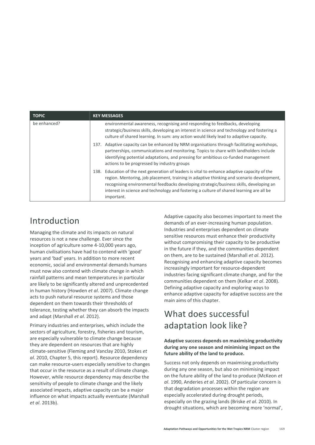| <b>TOPIC</b> | <b>KEY MESSAGES</b>                                                                                                                                                                                                                                                                                                                                                                                |
|--------------|----------------------------------------------------------------------------------------------------------------------------------------------------------------------------------------------------------------------------------------------------------------------------------------------------------------------------------------------------------------------------------------------------|
| be enhanced? | environmental awareness, recognising and responding to feedbacks, developing<br>strategic/business skills, developing an interest in science and technology and fostering a<br>culture of shared learning. In sum: any action would likely lead to adaptive capacity.                                                                                                                              |
|              | Adaptive capacity can be enhanced by NRM organisations through facilitating workshops,<br>137.<br>partnerships, communications and monitoring. Topics to share with landholders include<br>identifying potential adaptations, and pressing for ambitious co-funded management<br>actions to be progressed by industry groups                                                                       |
|              | Education of the next generation of leaders is vital to enhance adaptive capacity of the<br>138.<br>region. Mentoring, job placement, training in adaptive thinking and scenario development,<br>recognising environmental feedbacks developing strategic/business skills, developing an<br>interest in science and technology and fostering a culture of shared learning are all be<br>important. |

## Introduction

Managing the climate and its impacts on natural resources is not a new challenge. Ever since the inception of agriculture some 4-10,000 years ago, human civilisations have had to contend with 'good' years and 'bad' years. In addition to more recent economic, social and environmental demands humans must now also contend with climate change in which rainfall patterns and mean temperatures in particular are likely to be significantly altered and unprecedented in human history (Howden *et al*. 2007). Climate change acts to push natural resource systems and those dependent on them towards their thresholds of tolerance, testing whether they can absorb the impacts and adapt (Marshall *et al*. 2012).

Primary industries and enterprises, which include the sectors of agriculture, forestry, fisheries and tourism, are especially vulnerable to climate change because they are dependent on resources that are highly climate-sensitive (Fleming and Vanclay 2010, Stokes *et al*. 2010, Chapter 5, this report). Resource dependency can make resource-users especially sensitive to changes that occur in the resource as a result of climate change. However, while resource dependency may describe the sensitivity of people to climate change and the likely associated impacts, adaptive capacity can be a major influence on what impacts actually eventuate (Marshall *et al*. 2013b).

Adaptive capacity also becomes important to meet the demands of an ever-increasing human population. Industries and enterprises dependent on climate sensitive resources must enhance their productivity without compromising their capacity to be productive in the future if they, and the communities dependent on them, are to be sustained (Marshall *et al*. 2012). Recognising and enhancing adaptive capacity becomes increasingly important for resource-dependent industries facing significant climate change, and for the communities dependent on them (Kelkar *et al*. 2008). Defining adaptive capacity and exploring ways to enhance adaptive capacity for adaptive success are the main aims of this chapter.

# What does successful adaptation look like?

### **Adaptive success depends on maximising productivity during any one season and minimising impact on the future ability of the land to produce.**

Success not only depends on maximising productivity during any one season, but also on minimising impact on the future ability of the land to produce (McKeon *et al*. 1990, Anderies *et al*. 2002). Of particular concern is that degradation processes within the region are especially accelerated during drought periods, especially on the grazing lands (Briske *et al*. 2010). In drought situations, which are becoming more 'normal',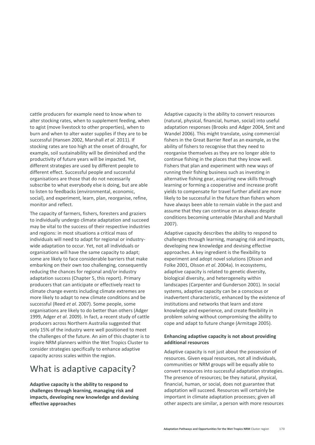cattle producers for example need to know when to alter stocking rates, when to supplement feeding, when to agist (move livestock to other properties), when to burn and when to alter water supplies if they are to be successful (Hansen 2002, Marshall *et al*. 2011). If stocking rates are too high at the onset of drought, for example, soil sustainability will be diminished and the productivity of future years will be impacted. Yet, different strategies are used by different people to different effect. Successful people and successful organisations are those that do not necessarily subscribe to what everybody else is doing, but are able to listen to feedbacks (environmental, economic, social), and experiment, learn, plan, reorganise, refine, monitor and reflect.

The capacity of farmers, fishers, foresters and graziers to individually undergo climate adaptation and succeed may be vital to the success of their respective industries and regions: in most situations a critical mass of individuals will need to adapt for regional or industrywide adaptation to occur. Yet, not all individuals or organisations will have the same capacity to adapt; some are likely to face considerable barriers that make embarking on their own too challenging, consequently reducing the chances for regional and/or industry adaptation success (Chapter 5, this report). Primary producers that can anticipate or effectively react to climate change events including climate extremes are more likely to adapt to new climate conditions and be successful (Reed *et al*. 2007). Some people, some organisations are likely to do better than others (Adger 1999, Adger *et al*. 2009). In fact, a recent study of cattle producers across Northern Australia suggested that only 15% of the industry were well positioned to meet the challenges of the future. An aim of this chapter is to inspire NRM planners within the Wet Tropics Cluster to consider strategies specifically to enhance adaptive capacity across scales within the region.

### What is adaptive capacity?

**Adaptive capacity is the ability to respond to challenges through learning, managing risk and impacts, developing new knowledge and devising effective approaches**

Adaptive capacity is the ability to convert resources (natural, physical, financial, human, social) into useful adaptation responses (Brooks and Adger 2004, Smit and Wandel 2006). This might translate, using commercial fishers in the Great Barrier Reef as an example, as the ability of fishers to recognise that they need to reorganise themselves as they are no longer able to continue fishing in the places that they know well. Fishers that plan and experiment with new ways of running their fishing business such as investing in alternative fishing gear, acquiring new skills through learning or forming a cooperative and increase profit yields to compensate for travel further afield are more likely to be successful in the future than fishers whom have always been able to remain viable in the past and assume that they can continue on as always despite conditions becoming untenable (Marshall and Marshall 2007).

Adaptive capacity describes the ability to respond to challenges through learning, managing risk and impacts, developing new knowledge and devising effective approaches. A key ingredient is the flexibility to experiment and adopt novel solutions (Olsson and Folke 2001, Olsson *et al*. 2004a). In ecosystems, adaptive capacity is related to genetic diversity, biological diversity, and heterogeneity within landscapes (Carpenter and Gunderson 2001). In social systems, adaptive capacity can be a conscious or inadvertent characteristic, enhanced by the existence of institutions and networks that learn and store knowledge and experience, and create flexibility in problem solving without compromising the ability to cope and adapt to future change (Armitage 2005).

#### **Enhancing adaptive capacity is not about providing additional resources**

Adaptive capacity is not just about the possession of resources. Given equal resources, not all individuals, communities or NRM groups will be equally able to convert resources into successful adaptation strategies. The presence of resources; be they natural, physical, financial, human, or social, does not guarantee that adaptation will succeed. Resources will certainly be important in climate adaptation processes; given all other aspects are similar, a person with more resources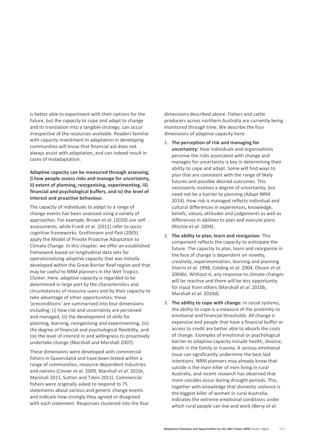is better able to experiment with their options for the future, but the *capacity* to cope and adapt to change and its translation into a tangible strategy, can occur irrespective of the resources available. Readers familiar with capacity investment in adaptation in developing communities will know that financial aid does not always assist with adaptation, and can indeed result in cases of maladaptation.

**Adaptive capacity can be measured through assessing; i) how people assess risks and manage for uncertainty, ii) extent of planning, reorganising, experimenting, iii) financial and psychological buffers, and iv) the level of interest and proactive behaviour.**

The capacity of individuals to adapt to a range of change events has been assessed using a variety of approaches. For example, Brown *et al*. (2010) use selfassessments, while Frank *et al*. (2011) refer to sociocognitive frameworks. Grothmann and Patt (2005) apply the Model of Private Proactive Adaptation to Climate Change. In this chapter, we offer an established framework based on longitudinal data sets for operationalising adaptive capacity that was initially developed within the Great Barrier Reef region and that may be useful to NRM planners in the Wet Tropics Cluster. Here, adaptive capacity is regarded to be determined in large part by the characteristics and circumstances of resource users and by their capacity to take advantage of other opportunities; these 'preconditions' are summarised into four dimensions including: (i) how risk and uncertainty are perceived and managed, (ii) the development of skills for planning, learning, reorganising and experimenting, (iii) the degree of financial and psychological flexibility, and (iv) the level of interest in and willingness to proactively undertake change (Marshall and Marshall 2007).

These dimensions were developed with commercial fishers in Queensland and have been tested within a range of communities, resource-dependent industries and nations (Cinner *et al*. 2009, Marshall *et al*. 2010c, Marshall 2011, Sutton and Tobin 2011). Commercial fishers were originally asked to respond to 75 statements about various and generic change events and indicate how strongly they agreed or disagreed with each statement. Responses clustered into the four dimensions described above. Fishers and cattle producers across northern Australia are currently being monitored through time. We describe the four dimensions of adaptive capacity here:

- 1. **The perception of risk and managing for uncertainty:** How individuals and organisations perceive the risks associated with change and manages for uncertainty is key in determining their ability to cope and adapt. Some will find ways to plan that are consistent with the range of likely futures and possible desired outcomes. This necessarily involves a degree of uncertainty, but need not be a barrier to planning (Adapt NRM 2014). How risk is managed reflects individual and cultural differences in experiences, knowledge, beliefs, values, attitudes and judgements as well as differences in abilities to plan and execute plans (Ritchie *et al*. 2004).
- 2. **The ability to plan, learn and reorganise:** This component reflects the capacity to anticipate the future. The capacity to plan, learn and reorganise in the face of change is dependent on novelty, creativity, experimentation, learning and planning (Harris *et al*. 1998, Colding *et al*. 2004, Olsson *et al*. 2004b). Without it, any response to climate changes will be reactive and there will be less opportunity for input from others (Marshall *et al*. 2010b, Marshall *et al*. 2010d).
- 3. **The ability to cope with change:** In social systems, the ability to cope is a measure of the proximity to emotional and financial thresholds. All change is expensive and people that have a financial buffer or access to credit are better able to absorb the costs of change. Examples of emotional or psychological barrier to adaptive capacity include health, divorce, death in the family or trauma. A serious emotional issue can significantly undermine the best laid intentions. NRM planners may already know that suicide is the main killer of men living in rural Australia, and recent research has observed that more suicides occur during drought periods. This, together with knowledge that domestic violence is the biggest killer of women in rural Australia, indicates the extreme emotional conditions under which rural people can live and work (Berry *et al*.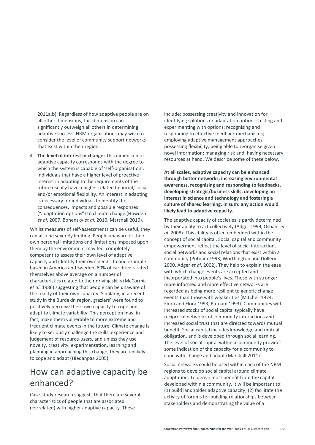2011a,b). Regardless of how adaptive people are on all other dimensions, this dimension can significantly outweigh all others in determining adaptive success. NRM organisations may wish to consider the level of community support networks that exist within their region.

4. **The level of interest in change:** This dimension of adaptive capacity corresponds with the degree to which the system is capable of 'self-organisation'. Individuals that have a higher level of proactive interest in adapting to the requirements of the future usually have a higher related financial, social and/or emotional flexibility. An interest in adapting is necessary for individuals to identify the consequences, impacts and possible responses ("adaptation options") to climate change (Howden *et al*. 2007, Bohensky *et al*. 2010, Marshall 2010).

Whilst measures of self-assessments can be useful, they can also be severely limiting. People unaware of their own personal limitations and limitations imposed upon them by the environment may feel completely competent to assess their own level of adaptive capacity and identify their own needs. In one example based in America and Sweden, 80% of car drivers rated themselves above average on a number of characteristics related to their driving skills (McCormic *et al*. 1986) suggesting that people can be unaware of the reality of their own capacity. Similarly, in a recent study in the Burdekin region, graziers' were found to positively perceive their own capacity to cope and adapt to climate variability. This perception may, in fact, make them vulnerable to more extreme and frequent climate events in the future. Climate change is likely to seriously challenge the skills, experience and judgement of resource-users, and unless they use novelty, creativity, experimentation, learning and planning in approaching this change, they are unlikely to cope and adapt (Hiedanpaa 2005).

# How can adaptive capacity be enhanced?

Case-study research suggests that there are several characteristics of people that are associated (correlated) with higher adaptive capacity. These

include: possessing creativity and innovation for identifying solutions or adaptation options; testing and experimenting with options; recognising and responding to effective feedback mechanisms; employing adaptive management approaches; possessing flexibility; being able to reorganise given novel information; managing risk and, having necessary resources at hand. We describe some of these below.

**At all scales, adaptive capacity can be enhanced through better networks, increasing environmental awareness, recognising and responding to feedbacks, developing strategic/business skills, developing an interest in science and technology and fostering a culture of shared learning. In sum: any action would likely lead to adaptive capacity.** 

The adaptive capacity of societies is partly determined by their ability to act collectively (Adger 1999, Osbahr *et al*. 2008). This ability is often embedded within the concept of social capital. Social capital and community empowerment reflect the level of social interaction, social networks and social relations that exist within a community (Putnam 1993, Worthington and Dollery 2000, Adger *et al*. 2002). They help to explain the ease with which change events are accepted and incorporated into people's lives. Those with stronger, more informed and more effective networks are regarded as being more resilient to generic change events than those with weaker ties (Mitchell 1974, Flora and Flora 1993, Putnam 1993). Communities with increased stocks of social capital typically have reciprocal networks of community interactions and increased social trust that are directed towards mutual benefit. Social capital includes knowledge and mutual obligation, and is developed through social learning. The level of social capital within a community provides some indication of the capacity for a community to cope with change and adapt (Marshall 2011).

Social networks could be used within each of the NRM regions to develop social capital around climate adaptation. To derive most benefit from the capital developed within a community, it will be important to: (1) build landholder adaptive capacity; (2) facilitate the activity of forums for building relationships between stakeholders and demonstrating the value of a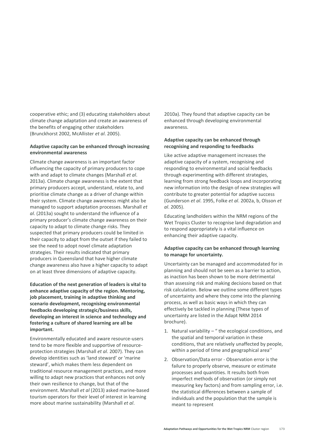cooperative ethic; and (3) educating stakeholders about climate change adaptation and create an awareness of the benefits of engaging other stakeholders (Brunckhorst 2002, McAllister *et al*. 2005).

#### **Adaptive capacity can be enhanced through increasing environmental awareness**

Climate change awareness is an important factor influencing the capacity of primary producers to cope with and adapt to climate changes (Marshall *et al*. 2013a). Climate change awareness is the extent that primary producers accept, understand, relate to, and prioritise climate change as a driver of change within their system. Climate change awareness might also be managed to support adaptation processes. Marshall *et al*. (2013a) sought to understand the influence of a primary producer's climate change awareness on their capacity to adapt to climate change risks. They suspected that primary producers could be limited in their capacity to adapt from the outset if they failed to see the need to adopt novel climate adaptation strategies. Their results indicated that primary producers in Queensland that have higher climate change awareness also have a higher capacity to adapt on at least three dimensions of adaptive capacity.

**Education of the next generation of leaders is vital to enhance adaptive capacity of the region. Mentoring, job placement, training in adaptive thinking and scenario development, recognising environmental feedbacks developing strategic/business skills, developing an interest in science and technology and fostering a culture of shared learning are all be important.**

Environmentally educated and aware resource-users tend to be more flexible and supportive of resourceprotection strategies (Marshall *et al*. 2007). They can develop identities such as 'land steward' or 'marine steward', which makes them less dependent on traditional resource management practices, and more willing to adapt new practices that enhances not only their own resilience to change, but that of the environment. Marshall *et al* (2013) asked marine-based tourism operators for their level of interest in learning more about marine sustainability (Marshall *et al*.

2010a). They found that adaptive capacity can be enhanced through developing environmental awareness.

#### **Adaptive capacity can be enhanced through recognising and responding to feedbacks**

Like active adaptive management increases the adaptive capacity of a system, recognising and responding to environmental and social feedbacks through experimenting with different strategies, learning from strong feedback loops and incorporating new information into the design of new strategies will contribute to greater potential for adaptive success (Gunderson *et al*. 1995, Folke *et al*. 2002a, b, Olsson *et al*. 2005).

Educating landholders within the NRM regions of the Wet Tropics Cluster to recognise land degradation and to respond appropriately is a vital influence on enhancing their adaptive capacity.

### **Adaptive capacity can be enhanced through learning to manage for uncertainty.**

Uncertainty can be managed and accommodated for in planning and should not be seen as a barrier to action, as inaction has been shown to be more detrimental than assessing risk and making decisions based on that risk calculation. Below we outline some different types of uncertainty and where they come into the planning process, as well as basic ways in which they can effectively be tackled in planning (These types of uncertainty are listed in the Adapt NRM 2014 brochure).

- 1. Natural variability " the ecological conditions, and the spatial and temporal variation in these conditions, that are relatively unaffected by people, within a period of time and geographical area''
- 2. Observation/Data error Observation error is the failure to properly observe, measure or estimate processes and quantities. It results both from imperfect methods of observation (or simply not measuring key factors) and from sampling error, i.e. the statistical differences between a sample of individuals and the population that the sample is meant to represent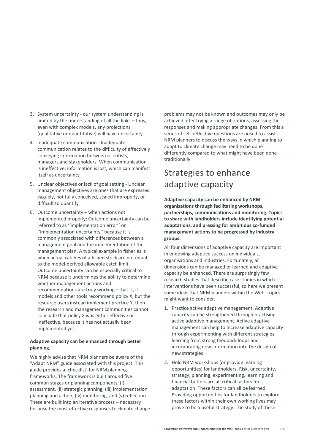- 3. System uncertainty our system understanding is limited by the understanding of all the links – thus, even with complex models, any projections (qualitative or quantitative) will have uncertainty
- 4. Inadequate communication Inadequate communication relates to the difficulty of effectively conveying information between scientists, managers and stakeholders. When communication is ineffective, information is lost, which can manifest itself as uncertainty
- 5. Unclear objectives or lack of goal setting Unclear management objectives are ones that are expressed vaguely, not fully conceived, scaled improperly, or difficult to quantify
- 6. Outcome uncertainty when actions not implemented properly; Outcome uncertainty can be referred to as ''implementation error'' or ''implementation uncertainty'' because it is commonly associated with differences between a management goal and the implementation of the management plan. A typical example in fisheries is when actual catches of a fished stock are not equal to the model-derived allowable catch limit. Outcome uncertainty can be especially critical to NRM because it undermines the ability to determine whether management actions and recommendations are truly working—that is, if models and other tools recommend policy X, but the resource users instead implement practice Y, then the research and management communities cannot conclude that policy X was either effective or ineffective, because it has not actually been implemented yet.

### **Adaptive capacity can be enhanced through better planning.**

We highly advise that NRM planners be aware of the "Adapt NRM" guide associated with this project. This guide provides a 'checklist' for NRM planning frameworks. The framework is built around five common stages or planning components; (i) assessment, (ii) strategic planning, (iii) implementation planning and action, (iv) monitoring, and (v) reflection. These are built into an iterative process – necessary because the most effective responses to climate change

problems may not be known and outcomes may only be achieved after trying a range of options, assessing the responses and making appropriate changes. From this a series of self-reflective questions are posed to assist NRM planners to discuss the ways in which planning to adapt to climate change may need to be done differently compared to what might have been done traditionally.

# Strategies to enhance adaptive capacity

**Adaptive capacity can be enhanced by NRM organisations through facilitating workshops, partnerships, communications and monitoring. Topics to share with landholders include identifying potential adaptations, and pressing for ambitious co-funded management actions to be progressed by industry groups.** 

All four dimensions of adaptive capacity are important in endowing adaptive success on individuals, organisations and industries. Fortunately, all dimensions can be managed or learned and adaptive capacity be enhanced. There are surprisingly few research studies that describe case studies in which interventions have been successful, so here we present some ideas that NRM planners within the Wet Tropics might want to consider.

- 1. Practice active adaptive management. Adaptive capacity can be strengthened through practising active adaptive management. Active adaptive management can help to increase adaptive capacity through experimenting with different strategies, learning from strong feedback loops and incorporating new information into the design of new strategies
- 2. Hold NRM workshops (or provide learning opportunities) for landholders. Risk, uncertainty, strategy, planning, experimenting, learning and financial buffers are all critical factors for adaptation. These factors can all be learned. Providing opportunities for landholders to explore these factors within their own working lives may prove to be a useful strategy. The study of these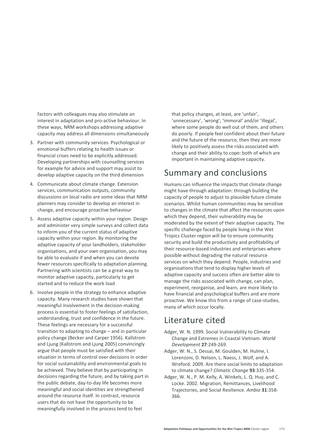factors with colleagues may also stimulate an interest in adaptation and pro-active behaviour. In these ways, NRM workshops addressing adaptive capacity may address all dimensions simultaneously

- 3. Partner with community services. Psychological or emotional buffers relating to health issues or financial crises need to be explicitly addressed. Developing partnerships with counselling services for example for advice and support may assist to develop adaptive capacity on the third dimension
- 4. Communicate about climate change. Extension services, communication outputs, community discussions on local radio are some ideas that NRM planners may consider to develop an interest in change, and encourage proactive behaviour
- 5. Assess adaptive capacity within your region. Design and administer very simple surveys and collect data to inform you of the current status of adaptive capacity within your region. By monitoring the adaptive capacity of your landholders, stakeholder organisations, and your own organisation, you may be able to evaluate if and when you can devote fewer resources specifically to adaptation planning. Partnering with scientists can be a great way to monitor adaptive capacity, particularly to get started and to reduce the work load
- 6. Involve people in the strategy to enhance adaptive capacity. Many research studies have shown that meaningful involvement in the decision-making process is essential to foster feelings of satisfaction, understanding, trust and confidence in the future. These feelings are necessary for a successful transition to adapting to change – and in particular policy change (Becker and Carper 1956). Kallstrom and Ljung (Kallstrom and Ljung 2005) convincingly argue that people must be satisfied with their situation in terms of control over decisions in order for social sustainability and environmental goals to be achieved. They believe that by participating in decisions regarding the future, and by taking part in the public debate, day-to-day life becomes more meaningful and social identities are strengthened around the resource itself. In contrast, resource users that do not have the opportunity to be meaningfully involved in the process tend to feel

that policy changes, at least, are 'unfair', 'unnecessary', 'wrong', 'immoral' and/or 'illegal', where some people do well out of them, and others do poorly. If people feel confident about their future and the future of the resource, then they are more likely to positively assess the risks associated with change and their ability to cope: both of which are important in maintaining adaptive capacity.

## Summary and conclusions

Humans can influence the impacts that climate change might have through adaptation: through building the capacity of people to adjust to plausible future climate scenarios. Whilst human communities may be sensitive to changes in the climate that affect the resources upon which they depend, their vulnerability may be moderated by the extent of their adaptive capacity. The specific challenge faced by people living in the Wet Tropics Cluster region will be to ensure community security and build the productivity and profitability of their resource-based industries and enterprises where possible without degrading the natural resource services on which they depend. People, industries and organisations that tend to display higher levels of adaptive capacity and success often are better able to manage the risks associated with change, can plan, experiment, reorganise, and learn, are more likely to have financial and psychological buffers and are more proactive. We know this from a range of case-studies, many of which occur locally.

### Literature cited

- Adger, W. N. 1999. Social Vulnerability to Climate Change and Extremes in Coastal Vietnam. *World Development* **27**:249-269.
- Adger, W. N., S. Dessai, M. Goulden, M. Hulme, I. Lorenzoni, D. Nelson, L. Naess, J. Wolf, and A. Wreford. 2009. Are there social limits to adaptation to climate change? *Climatic Change* **93**:335-354.
- Adger, W. N., P. M. Kelly, A. Winkels, L. Q. Huy, and C. Locke. 2002. Migration, Remittances, Livelihood Trajectories, and Social Resilience. *Ambio* **31**:358- 366.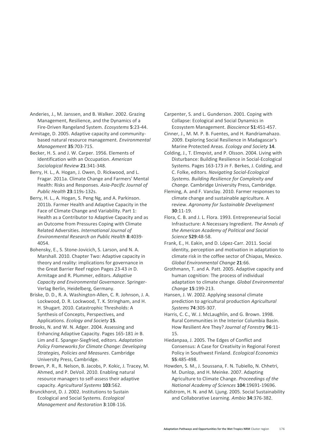Anderies, J., M. Janssen, and B. Walker. 2002. Grazing Management, Resilience, and the Dynamics of a Fire-Driven Rangeland System. *Ecosystems* **5**:23-44.

Armitage, D. 2005. Adaptive capacity and communitybased natural resource management. *Environmental Management* **35**:703-715.

Becker, H. S. and J. W. Carper. 1956. Elements of Identification with an Occupation. *American Sociological Review* **21**:341-348.

Berry, H. L., A. Hogan, J. Owen, D. Rickwood, and L. Fragar. 2011a. Climate Change and Farmers' Mental Health: Risks and Responses. *Asia-Pacific Journal of Public Health* **23**:119s-132s.

Berry, H. L., A. Hogan, S. Peng Ng, and A. Parkinson. 2011b. Farmer Health and Adaptive Capacity in the Face of Climate Change and Variability. Part 1: Health as a Contributor to Adaptive Capacity and as an Outcome from Pressures Coping with Climate Related Adversities. *International Journal of Environmental Research on Public Health* **8**:4039- 4054.

Bohensky, E., S. Stone-Jovicich, S. Larson, and N. A. Marshall. 2010. Chapter Two: Adaptive capacity in theory and reality: implications for governance in the Great Barrier Reef region Pages 23-43 *in* D. Armitage and R. Plummer, editors. *Adaptive Capacity and Environmental Governance*. Springer-Verlag Berlin, Heidelberg, Germany.

Briske, D. D., R. A. Washington-Allen, C. R. Johnson, J. A. Lockwood, D. R. Lockwood, T. K. Stringham, and H. H. Shugart. 2010. Catastrophic Thresholds: A Synthesis of Concepts, Perspectives, and Applications. *Ecology and Society* **15**.

Brooks, N. and W. N. Adger. 2004. Assessing and Enhancing Adaptive Capacity. Pages 165-181 *in* B. Lim and E. Spanger-Siegfried, editors. *Adaptation Policy Frameworks for Climate Change: Developing Strategies, Policies and Measures*. Cambridge University Press, Cambridge.

Brown, P. R., R. Nelson, B. Jacobs, P. Kokic, J. Tracey, M. Ahmed, and P. DeVoil. 2010. Enabling natural resource managers to self-assess their adaptive capacity. *Agricultural Systems* **103**:562.

Brunckhorst, D. J. 2002. Institutions to Sustain Ecological and Social Systems. *Ecological Management and Restoration* **3**:108-116.

Carpenter, S. and L. Gunderson. 2001. Coping with Collapse: Ecological and Social Dynamics in Ecosystem Management. *Bioscience* **51**:451-457.

Cinner, J., M. M. P. B. Fuentes, and H. Randriamahazo. 2009. Exploring Social Resilience in Madagascar's Marine Protected Areas. *Ecology and Society* **14**.

Colding, J., T. Elmqvist, and P. Olsson. 2004. Living with Disturbance: Building Resilience in Social-Ecological Systems. Pages 163-173 *in* F. Berkes, J. Colding, and C. Folke, editors. *Navigating Social-Ecological Systems. Building Resilience for Complexity and Change.* Cambridge University Press, Cambridge.

Fleming, A. and F. Vanclay. 2010. Farmer responses to climate change and sustainable agriculture. A review. *Agronomy for Sustainable Development* **30**:11-19.

Flora, C. B. and J. L. Flora. 1993. Entrepreneurial Social Infrastucture: A Necessary Ingredient. *The Annals of the American Academy of Political and Social Science* **529**:48-58.

Frank, E., H. Eakin, and D. López-Carr. 2011. Social identity, perception and motivation in adaptation to climate risk in the coffee sector of Chiapas, Mexico. *Global Environmental Change* **21**:66.

Grothmann, T. and A. Patt. 2005. Adaptive capacity and human cognition: The process of individual adaptation to climate change. *Global Environmental Change* **15**:199-213.

Hansen, J. W. 2002. Applying seasonal climate prediction to agricultural production *Agricultural Systems* **74**:305-307.

Harris, C. C., W. J. McLaughlin, and G. Brown. 1998. Rural Communities in the Interior Columbia Basin. How Resilient Are They? *Journal of Forestry* **96**:11- 15.

Hiedanpaa, J. 2005. The Edges of Conflict and Consensus: A Case for Creativity in Regional Forest Policy in Southwest Finland. *Ecological Economics* **55**:485-498.

Howden, S. M., J. Soussana, F. N. Tubiello, N. Chhetri, M. Dunlop, and H. Meinke. 2007. Adapting Agriculture to Climate Change. *Proceedings of the National Academy of Sciences* **104**:19691-19696.

Kallstrom, H. N. and M. Ljung. 2005. Social Sustainability and Collaborative Learning. *Ambio* **34**:376-382.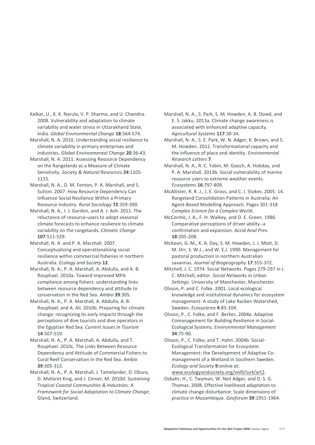Kelkar, U., K. K. Narula, V. P. Sharma, and U. Chandna. 2008. Vulnerability and adaptation to climate variability and water stress in Uttarakhand State, India. *Global Environmental Change* **18**:564-574.

Marshall, N. A. 2010. Understanding social resilience to climate variability in primary enterprises and industries. *Global Environmental Change* **20**:36-43.

Marshall, N. A. 2011. Assessing Resource Dependency on the Rangelands as a Measure of Climate Sensitivity. *Society & Natural Resources* **24**:1105- 1115.

Marshall, N. A., D. M. Fenton, P. A. Marshall, and S. Sutton. 2007. How Resource-Dependency Can Influence Social Resilience Within a Primary Resource Industry. *Rural Sociology* **72**:359-390.

Marshall, N. A., I. J. Gordon, and A. J. Ash. 2011. The reluctance of resource-users to adopt seasonal climate forecasts to enhance resilience to climate variability on the rangelands. *Climatic Change* **107**:511-529.

Marshall, N. A. and P. A. Marshall. 2007. Conceptualizing and operationalizing social resilience within commercial fisheries in northern Australia. *Ecology and Society* **12**.

Marshall, N. A., P. A. Marshall, A. Abdulla, and A. B. Rouphael. 2010a. Toward improved MPA compliance among fishers: understanding links between resource dependency and attitude to conservation in the Red Sea. *Ambio* **39**:305.

Marshall, N. A., P. A. Marshall, A. Abdulla, A. B. Rouphael, and A. Ali. 2010b. Preparing for climate change: recognizing its early impacts through the perceptions of dive tourists and dive operators in the Egyptian Red Sea. *Current Issues in Tourism* **14**:507-519.

Marshall, N. A., P. A. Marshall, A. Abdulla, and T. Rouphael. 2010c. The Links Between Resource Dependency and Attitude of Commercial Fishers to Coral Reef Conservation in the Red Sea. *Ambio* **39**:305-313.

Marshall, N. A., P. A. Marshall, J. Tamelander, D. Obura, D. Mallaret King, and J. Cinner, M. 2010d. *Sustaining Tropical Coastal Communities & Industries: A Framework for Social Adaptation to Climate Change*, Gland, Switzerland.

Marshall, N. A., S. Park, S. M. Howden, A. B. Dowd, and E. S. Jakku. 2013a. Climate change awareness is associated with enhanced adaptive capacity. *Agricultural Systems* **117**:30-34.

Marshall, N. A., S. E. Park, W. N. Adger, K. Brown, and S. M. Howden. 2012. Transformational capacity and the influence of place and identity. *Environmental Research Letters* **7**.

Marshall, N. A., R. C. Tobin, M. Gooch, A. Hobday, and P. A. Marshall. 2013b. Social vulnerability of marine resource users to extreme weather events. *Ecosystems* **16**:797-809.

McAllister, R. R. J., J. E. Gross, and C. J. Stokes. 2005. 14. Rangeland Consolidation Patterns in Australia: An Agent-Based Modelling Approach. Pages 301-318 *Complex Science for a Complex World*.

McCormic, I. A., F. H. Walkey, and D. E. Green. 1986. Comparative perceptions of driver ability--a confirmation and expansion. *Accid Anal Prev*. **18**:205-208.

McKeon, G. M., K. A. Day, S. M. Howden, J. J. Mott, D. M. Orr, S. W.J., and W. E.J. 1990. Management for pastoral production in northern Australian savannas. *Journal of Biogeography* **17**:355-372.

Mitchell, J. C. 1974. Social Networks. Pages 279-297 *in* J. C. Mitchell, editor. *Social Networks in Urban Settings*. University of Manchester, Manchester.

Olsson, P. and C. Folke. 2001. Local ecological knowledge and institutional dynamics for ecosystem management: A study of Lake Racken Watershed, Sweden. *Ecosystems* **4**:85-104.

Olsson, P., C. Folke, and F. Berkes. 2004a. Adaptive Comanagement for Building Resilience in Social-Ecological Systems. *Environmental Management* **34**:75-90.

Olsson, P., C. Folke, and T. Hahn. 2004b. Social-Ecological Transformation for Ecosystem Management: the Development of Adaptive Comanagement of a Wetland in Southern Sweden. *Ecology and Society* **9**:online at; [www.ecologyandsociety.org/vol9/iss4/art2.](http://www.ecologyandsociety.org/vol9/iss4/art2)

Osbahr, H., C. Twyman, W. Neil Adger, and D. S. G. Thomas. 2008. Effective livelihood adaptation to climate change disturbance: Scale dimensions of practice in Mozambique. *Geoforum* **39**:1951-1964.